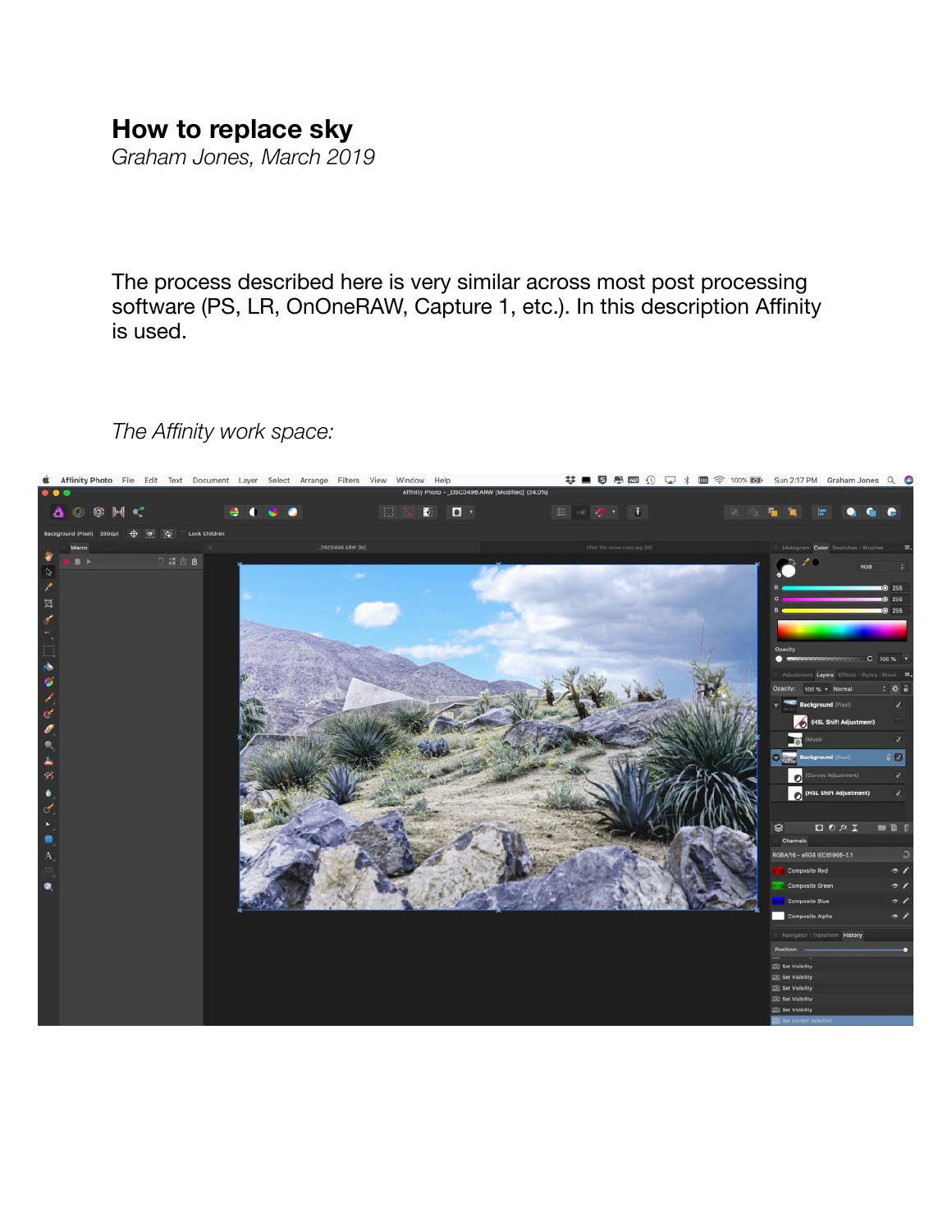## **How to replace sky**

*Graham Jones, March 2019* 

The process described here is very similar across most post processing software (PS, LR, OnOneRAW, Capture 1, etc.). In this description Affinity is used.

## *The Affinity work space:*

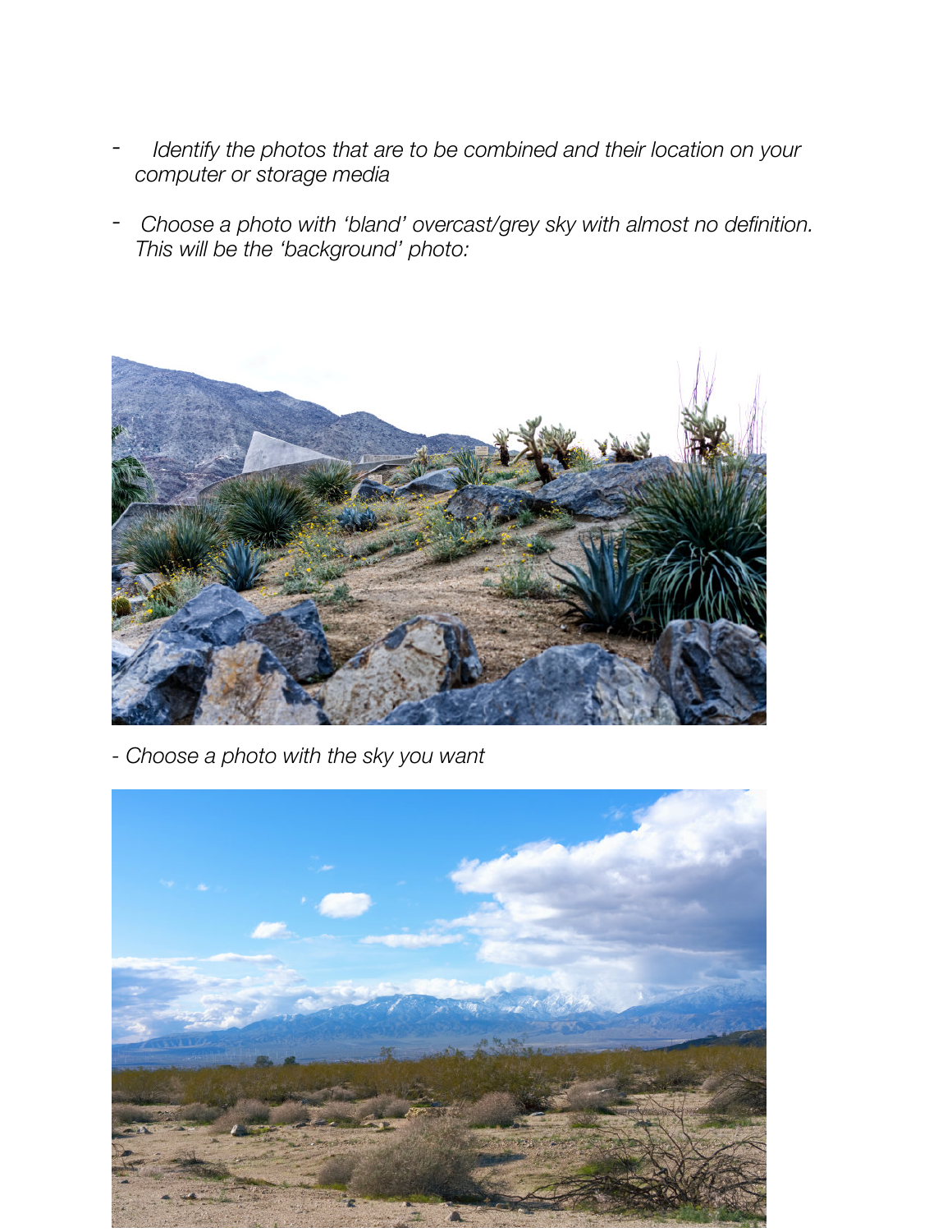- *Identify the photos that are to be combined and their location on your computer or storage media*
- *Choose a photo with 'bland' overcast/grey sky with almost no definition. This will be the 'background' photo:*



*- Choose a photo with the sky you want*

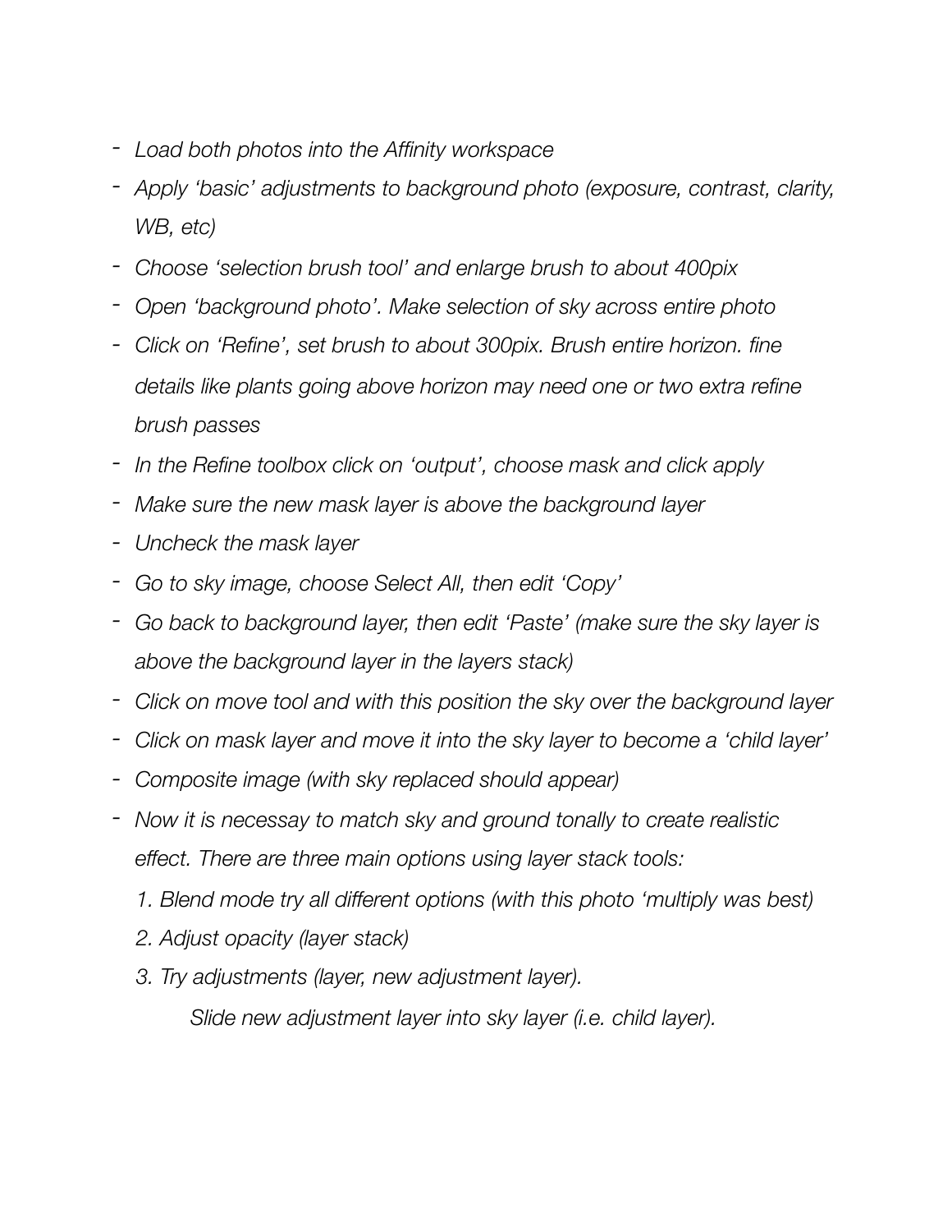- *- Load both photos into the Affinity workspace*
- *- Apply 'basic' adjustments to background photo (exposure, contrast, clarity, WB, etc)*
- *- Choose 'selection brush tool' and enlarge brush to about 400pix*
- *- Open 'background photo'. Make selection of sky across entire photo*
- *- Click on 'Refine', set brush to about 300pix. Brush entire horizon. fine details like plants going above horizon may need one or two extra refine brush passes*
- *- In the Refine toolbox click on 'output', choose mask and click apply*
- *- Make sure the new mask layer is above the background layer*
- *- Uncheck the mask layer*
- *- Go to sky image, choose Select All, then edit 'Copy'*
- *- Go back to background layer, then edit 'Paste' (make sure the sky layer is above the background layer in the layers stack)*
- *- Click on move tool and with this position the sky over the background layer*
- *- Click on mask layer and move it into the sky layer to become a 'child layer'*
- *- Composite image (with sky replaced should appear)*
- *- Now it is necessay to match sky and ground tonally to create realistic effect. There are three main options using layer stack tools:* 
	- *1. Blend mode try all different options (with this photo 'multiply was best)*
	- *2. Adjust opacity (layer stack)*
	- *3. Try adjustments (layer, new adjustment layer).*

 *Slide new adjustment layer into sky layer (i.e. child layer).*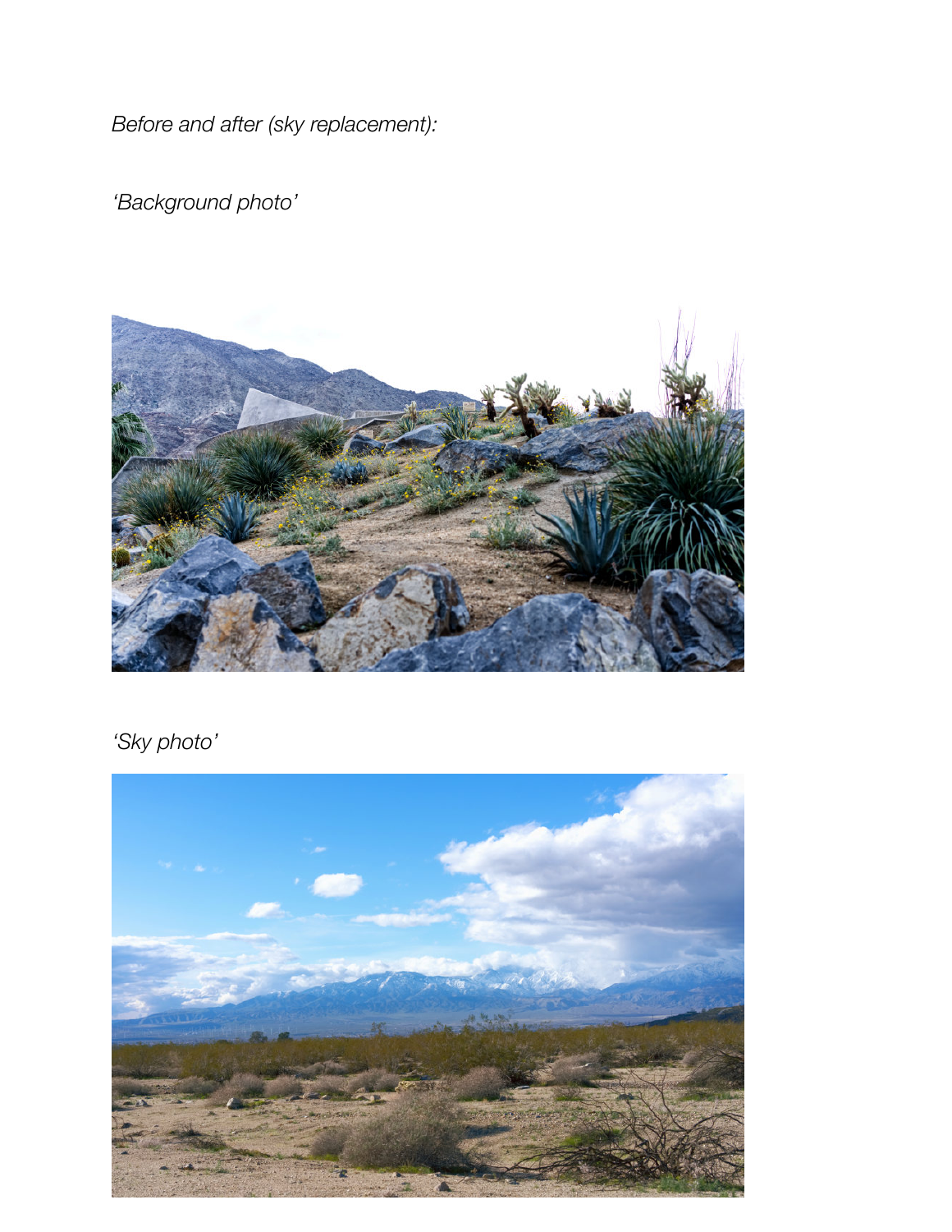*Before and after (sky replacement):* 

*'Background photo'*



*'Sky photo'*